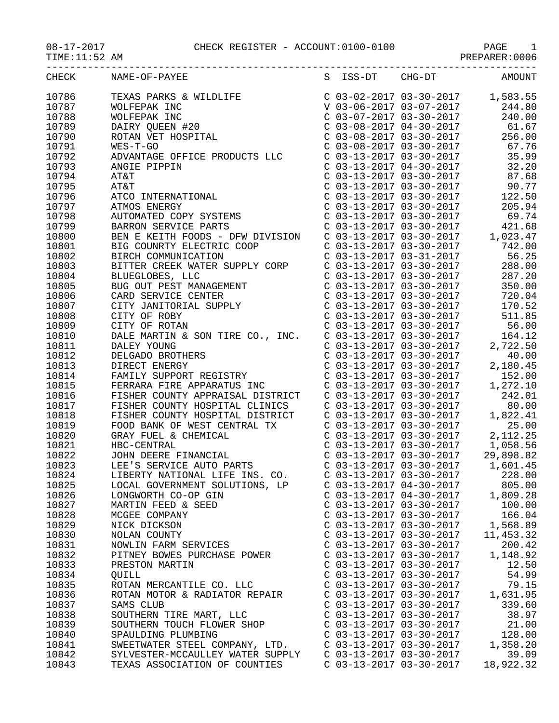## 08-17-2017 CHECK REGISTER - ACCOUNT:0100-0100 PAGE 1

PREPARER:0006

| CHECK | NAME-OF-PAYEE                                                                                               |                           |                                                                  | S ISS-DT CHG-DT AMOUNT               |
|-------|-------------------------------------------------------------------------------------------------------------|---------------------------|------------------------------------------------------------------|--------------------------------------|
| 10786 | TEXAS PARKS & WILDLIFE<br>WOLFEPAK INC<br>WOLFEPAK INC<br>DAIRY QUEEN #20<br>ROTAN VET HOSPITAL<br>WES-T-GO |                           |                                                                  | $C$ 03-02-2017 03-30-2017 1,583.55   |
| 10787 |                                                                                                             |                           |                                                                  | V 03-06-2017 03-07-2017 244.80       |
| 10788 |                                                                                                             |                           | C 03-07-2017 03-30-2017                                          | 240.00                               |
| 10789 |                                                                                                             |                           | $C$ 03-08-2017 04-30-2017                                        | 61.67                                |
| 10790 |                                                                                                             |                           |                                                                  | 256.00                               |
| 10791 | WES-T-GO                                                                                                    |                           | C 03-08-2017 03-30-2017<br>C 03-08-2017 03-30-2017               | 67.76                                |
| 10792 | ADVANTAGE OFFICE PRODUCTS LLC                                                                               |                           | $C$ 03-13-2017 03-30-2017                                        | 35.99                                |
| 10793 | ANGIE PIPPIN                                                                                                |                           |                                                                  | $C$ 03-13-2017 04-30-2017 32.20      |
| 10794 | AT&T                                                                                                        |                           | $C$ 03-13-2017 03-30-2017                                        | 87.68                                |
| 10795 | AT&T                                                                                                        |                           |                                                                  | 90.77                                |
| 10796 | ATCO INTERNATIONAL                                                                                          |                           | C 03-13-2017 03-30-2017<br>C 03-13-2017 03-30-2017               | 122.50                               |
| 10797 | ATMOS ENERGY                                                                                                |                           | $C$ 03-13-2017 03-30-2017                                        | 205.94                               |
| 10798 | AUTOMATED COPY SYSTEMS                                                                                      |                           | $C$ 03-13-2017 03-30-2017                                        | 69.74                                |
| 10799 | BARRON SERVICE PARTS                                                                                        |                           | C 03-13-2017 03-30-2017                                          | 421.68                               |
| 10800 | BEN E KEITH FOODS - DFW DIVISION                                                                            |                           |                                                                  | C $03-13-2017$ $03-30-2017$ 1,023.47 |
| 10801 | BIG COUNRTY ELECTRIC COOP                                                                                   |                           |                                                                  | 742.00                               |
| 10802 | BIRCH COMMUNICATION                                                                                         |                           | C 03-13-2017 03-30-2017<br>C 03-13-2017 03-31-2017               | 56.25                                |
| 10803 | BITTER CREEK WATER SUPPLY CORP                                                                              |                           | C 03-13-2017 03-30-2017                                          | 288.00                               |
| 10804 | BLUEGLOBES, LLC                                                                                             |                           | C 03-13-2017 03-30-2017                                          | 287.20                               |
| 10805 |                                                                                                             |                           | C 03-13-2017 03-30-2017                                          | 350.00                               |
| 10806 | BUG OUT PEST MANAGEMENT<br>CARD SERVICE CENTER<br>CITY JANITORIAL SUPPLY<br>CITY OF ROBY<br>CITY OF POTAN   |                           | $C \quad 03-13-2017 \quad 03-30-2017$<br>C 03-13-2017 03-30-2017 | 720.04                               |
| 10807 |                                                                                                             |                           | $C$ 03-13-2017 03-30-2017                                        | 170.52                               |
| 10808 |                                                                                                             |                           | $C$ 03-13-2017 03-30-2017                                        | 511.85                               |
| 10809 | CITY OF ROTAN                                                                                               |                           |                                                                  | C 03-13-2017 03-30-2017 56.00        |
| 10810 | DALE MARTIN & SON TIRE CO., INC. C 03-13-2017 03-30-2017                                                    |                           |                                                                  | 164.12                               |
| 10811 | DALEY YOUNG                                                                                                 |                           | $C$ 03-13-2017 03-30-2017                                        | 2,722.50                             |
| 10812 | DELGADO BROTHERS                                                                                            |                           | $C$ 03-13-2017 03-30-2017                                        | 40.00                                |
| 10813 | DIRECT ENERGY                                                                                               |                           | $C$ 03-13-2017 03-30-2017                                        | 2,180.45                             |
| 10814 | FAMILY SUPPORT REGISTRY                                                                                     |                           | $C$ 03-13-2017 03-30-2017                                        | 152.00                               |
| 10815 | FERRARA FIRE APPARATUS INC                                                                                  |                           | $C$ 03-13-2017 03-30-2017                                        | 1,272.10                             |
| 10816 | FISHER COUNTY APPRAISAL DISTRICT                                                                            | C 03-13-2017 03-30-2017   |                                                                  | 242.01                               |
| 10817 | FISHER COUNTY HOSPITAL CLINICS                                                                              | $C$ 03-13-2017 03-30-2017 |                                                                  | 80.00                                |
| 10818 | FISHER COUNTY HOSPITAL DISTRICT                                                                             |                           | $C$ 03-13-2017 03-30-2017                                        | 1,822.41                             |
| 10819 | FOOD BANK OF WEST CENTRAL TX                                                                                |                           | $C$ 03-13-2017 03-30-2017                                        | 25.00                                |
| 10820 | GRAY FUEL & CHEMICAL                                                                                        |                           | $C$ 03-13-2017 03-30-2017                                        | 2, 112. 25                           |
| 10821 | HBC-CENTRAL                                                                                                 |                           | $C$ 03-13-2017 03-30-2017                                        | 1,058.56                             |
| 10822 | JOHN DEERE FINANCIAL                                                                                        |                           | $C$ 03-13-2017 03-30-2017                                        | 29,898.82                            |
| 10823 | LEE'S SERVICE AUTO PARTS                                                                                    | $C$ 03-13-2017 03-30-2017 |                                                                  | 1,601.45                             |
| 10824 | LIBERTY NATIONAL LIFE INS. CO.                                                                              | C 03-13-2017 03-30-2017   |                                                                  | 228.00                               |
| 10825 | LOCAL GOVERNMENT SOLUTIONS, LP                                                                              | C 03-13-2017 04-30-2017   |                                                                  | 805.00                               |
| 10826 | LONGWORTH CO-OP GIN                                                                                         | $C$ 03-13-2017 04-30-2017 |                                                                  | 1,809.28                             |
| 10827 | MARTIN FEED & SEED                                                                                          | C 03-13-2017 03-30-2017   |                                                                  | 100.00                               |
| 10828 | MCGEE COMPANY                                                                                               | C 03-13-2017 03-30-2017   |                                                                  | 166.04                               |
| 10829 | NICK DICKSON                                                                                                | C 03-13-2017 03-30-2017   |                                                                  | 1,568.89                             |
| 10830 | NOLAN COUNTY                                                                                                | C 03-13-2017 03-30-2017   |                                                                  | 11,453.32                            |
| 10831 | NOWLIN FARM SERVICES                                                                                        | $C$ 03-13-2017 03-30-2017 |                                                                  | 200.42                               |
| 10832 | PITNEY BOWES PURCHASE POWER                                                                                 | $C$ 03-13-2017 03-30-2017 |                                                                  | 1,148.92                             |
| 10833 | PRESTON MARTIN                                                                                              | C 03-13-2017 03-30-2017   |                                                                  | 12.50                                |
| 10834 | OUILL                                                                                                       | C 03-13-2017 03-30-2017   |                                                                  | 54.99                                |
| 10835 | ROTAN MERCANTILE CO. LLC                                                                                    | C 03-13-2017 03-30-2017   |                                                                  | 79.15                                |
| 10836 | ROTAN MOTOR & RADIATOR REPAIR                                                                               | C 03-13-2017 03-30-2017   |                                                                  | 1,631.95                             |
| 10837 | SAMS CLUB                                                                                                   | $C$ 03-13-2017 03-30-2017 |                                                                  | 339.60                               |
| 10838 | SOUTHERN TIRE MART, LLC                                                                                     | C 03-13-2017 03-30-2017   |                                                                  | 38.97                                |
| 10839 | SOUTHERN TOUCH FLOWER SHOP                                                                                  | C 03-13-2017 03-30-2017   |                                                                  | 21.00                                |
| 10840 | SPAULDING PLUMBING                                                                                          | C 03-13-2017 03-30-2017   |                                                                  | 128.00                               |
| 10841 | SWEETWATER STEEL COMPANY, LTD.                                                                              | C 03-13-2017 03-30-2017   |                                                                  | 1,358.20                             |
| 10842 | SYLVESTER-MCCAULLEY WATER SUPPLY                                                                            | $C$ 03-13-2017 03-30-2017 |                                                                  | 39.09                                |
| 10843 | TEXAS ASSOCIATION OF COUNTIES                                                                               | $C$ 03-13-2017 03-30-2017 |                                                                  | 18,922.32                            |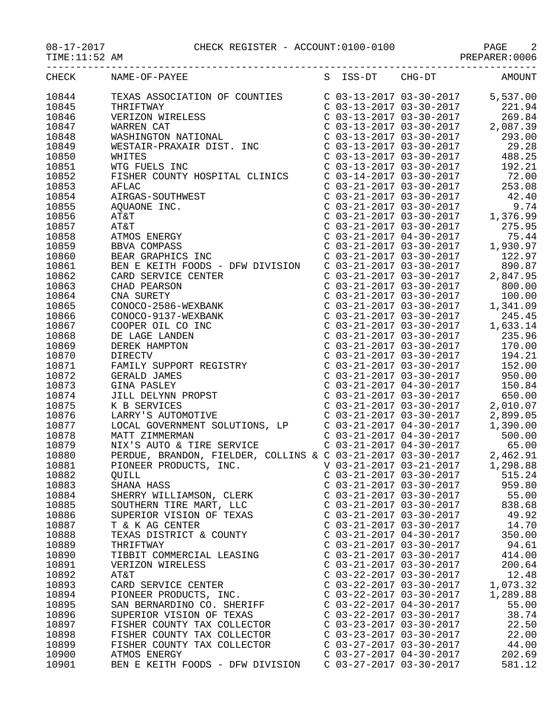## 08-17-2017 CHECK REGISTER - ACCOUNT:0100-0100 PAGE 2

PREPARER:0006

| CHECK | NAME-OF-PAYEE                                                                                                                                                                                                                                                                                                                                                                                                                                                 |                           | S ISS-DT CHG-DT AMOUNT |          |
|-------|---------------------------------------------------------------------------------------------------------------------------------------------------------------------------------------------------------------------------------------------------------------------------------------------------------------------------------------------------------------------------------------------------------------------------------------------------------------|---------------------------|------------------------|----------|
| 10844 | $\begin{tabular}{l c c c c} \multicolumn{4}{l}{\textbf{RAMM-OP-FATLIM}} & \multicolumn{4}{l}{\textbf{S}} & \multicolumn{4}{l}{3-5} & \multicolumn{4}{l}{\textbf{S}} & \multicolumn{4}{l}{\textbf{S}} & \multicolumn{4}{l}{\textbf{S}} & \multicolumn{4}{l}{\textbf{S}} & \multicolumn{4}{l}{\textbf{S}} & \multicolumn{4}{l}{\textbf{S}} & \multicolumn{4}{l}{\textbf{S}} & \multicolumn{4}{l}{\textbf{S}} & \multicolumn{4}{l}{\textbf{S}} & \multicolumn{4$ |                           |                        |          |
| 10845 |                                                                                                                                                                                                                                                                                                                                                                                                                                                               |                           |                        |          |
| 10846 |                                                                                                                                                                                                                                                                                                                                                                                                                                                               |                           |                        |          |
| 10847 |                                                                                                                                                                                                                                                                                                                                                                                                                                                               |                           |                        |          |
| 10848 |                                                                                                                                                                                                                                                                                                                                                                                                                                                               |                           |                        |          |
| 10849 |                                                                                                                                                                                                                                                                                                                                                                                                                                                               |                           |                        |          |
| 10850 |                                                                                                                                                                                                                                                                                                                                                                                                                                                               |                           |                        |          |
| 10851 |                                                                                                                                                                                                                                                                                                                                                                                                                                                               |                           |                        |          |
| 10852 |                                                                                                                                                                                                                                                                                                                                                                                                                                                               |                           |                        |          |
| 10853 |                                                                                                                                                                                                                                                                                                                                                                                                                                                               |                           |                        |          |
| 10854 |                                                                                                                                                                                                                                                                                                                                                                                                                                                               |                           |                        |          |
| 10855 |                                                                                                                                                                                                                                                                                                                                                                                                                                                               |                           |                        |          |
| 10856 |                                                                                                                                                                                                                                                                                                                                                                                                                                                               |                           |                        |          |
| 10857 |                                                                                                                                                                                                                                                                                                                                                                                                                                                               |                           |                        |          |
| 10858 |                                                                                                                                                                                                                                                                                                                                                                                                                                                               |                           |                        |          |
| 10859 |                                                                                                                                                                                                                                                                                                                                                                                                                                                               |                           |                        |          |
| 10860 |                                                                                                                                                                                                                                                                                                                                                                                                                                                               |                           |                        |          |
| 10861 |                                                                                                                                                                                                                                                                                                                                                                                                                                                               |                           |                        |          |
| 10862 |                                                                                                                                                                                                                                                                                                                                                                                                                                                               |                           |                        |          |
| 10863 |                                                                                                                                                                                                                                                                                                                                                                                                                                                               |                           |                        |          |
| 10864 |                                                                                                                                                                                                                                                                                                                                                                                                                                                               |                           |                        |          |
| 10865 |                                                                                                                                                                                                                                                                                                                                                                                                                                                               |                           |                        |          |
| 10866 |                                                                                                                                                                                                                                                                                                                                                                                                                                                               |                           |                        |          |
| 10867 | CARD SERVICE CENTER<br>CHAD PEARSON<br>CNA SURETY<br>CONOCO-2586-WEXBANK<br>CONOCO-9137-WEXBANK<br>COOPER OIL CO INC<br>DE LAGE LANDEN<br>DEREK HAMPTON<br>DEREK HAMPTON<br>DIRECTV<br>FAMILY SUPPORT REGISTRY                                                                                                                                                                                                                                                |                           |                        |          |
|       |                                                                                                                                                                                                                                                                                                                                                                                                                                                               |                           |                        |          |
| 10868 |                                                                                                                                                                                                                                                                                                                                                                                                                                                               |                           |                        |          |
| 10869 |                                                                                                                                                                                                                                                                                                                                                                                                                                                               |                           |                        |          |
| 10870 |                                                                                                                                                                                                                                                                                                                                                                                                                                                               |                           |                        |          |
| 10871 |                                                                                                                                                                                                                                                                                                                                                                                                                                                               |                           |                        |          |
| 10872 |                                                                                                                                                                                                                                                                                                                                                                                                                                                               |                           |                        |          |
| 10873 |                                                                                                                                                                                                                                                                                                                                                                                                                                                               |                           |                        |          |
| 10874 |                                                                                                                                                                                                                                                                                                                                                                                                                                                               |                           |                        |          |
| 10875 |                                                                                                                                                                                                                                                                                                                                                                                                                                                               |                           |                        |          |
| 10876 |                                                                                                                                                                                                                                                                                                                                                                                                                                                               |                           |                        |          |
| 10877 | LOCAL GOVERNMENT SOLUTIONS, LP<br>MATT ZIMMERMAN<br>MIX'S AUTO & TIRE SERVICE<br>PERDUE, BRANDON, FIELDER, COLLINS & C 03-21-2017 04-30-2017 65.00<br>PERDUE, BRANDON, FIELDER, COLLINS & C 03-21-2017 03-30-2017 2,462.91<br>PIONEER PR                                                                                                                                                                                                                      |                           |                        |          |
| 10878 |                                                                                                                                                                                                                                                                                                                                                                                                                                                               |                           |                        |          |
| 10879 |                                                                                                                                                                                                                                                                                                                                                                                                                                                               |                           |                        |          |
| 10880 |                                                                                                                                                                                                                                                                                                                                                                                                                                                               |                           |                        |          |
| 10881 |                                                                                                                                                                                                                                                                                                                                                                                                                                                               |                           |                        |          |
| 10882 | QUILL                                                                                                                                                                                                                                                                                                                                                                                                                                                         | $C$ 03-21-2017 03-30-2017 |                        | 515.24   |
| 10883 | SHANA HASS                                                                                                                                                                                                                                                                                                                                                                                                                                                    | $C$ 03-21-2017 03-30-2017 |                        | 959.80   |
| 10884 | SHERRY WILLIAMSON, CLERK                                                                                                                                                                                                                                                                                                                                                                                                                                      | $C$ 03-21-2017 03-30-2017 |                        | 55.00    |
| 10885 | SOUTHERN TIRE MART, LLC                                                                                                                                                                                                                                                                                                                                                                                                                                       | $C$ 03-21-2017 03-30-2017 |                        | 838.68   |
| 10886 | SUPERIOR VISION OF TEXAS                                                                                                                                                                                                                                                                                                                                                                                                                                      | C 03-21-2017 03-30-2017   |                        | 49.92    |
| 10887 | T & K AG CENTER                                                                                                                                                                                                                                                                                                                                                                                                                                               | C 03-21-2017 03-30-2017   |                        | 14.70    |
| 10888 | TEXAS DISTRICT & COUNTY                                                                                                                                                                                                                                                                                                                                                                                                                                       | $C$ 03-21-2017 04-30-2017 |                        | 350.00   |
| 10889 | THRIFTWAY                                                                                                                                                                                                                                                                                                                                                                                                                                                     | $C$ 03-21-2017 03-30-2017 |                        | 94.61    |
| 10890 | TIBBIT COMMERCIAL LEASING                                                                                                                                                                                                                                                                                                                                                                                                                                     | C 03-21-2017 03-30-2017   |                        | 414.00   |
| 10891 | VERIZON WIRELESS                                                                                                                                                                                                                                                                                                                                                                                                                                              | $C$ 03-21-2017 03-30-2017 |                        | 200.64   |
| 10892 | AT&T                                                                                                                                                                                                                                                                                                                                                                                                                                                          | C 03-22-2017 03-30-2017   |                        | 12.48    |
| 10893 | CARD SERVICE CENTER                                                                                                                                                                                                                                                                                                                                                                                                                                           | $C$ 03-22-2017 03-30-2017 |                        | 1,073.32 |
| 10894 | PIONEER PRODUCTS, INC.                                                                                                                                                                                                                                                                                                                                                                                                                                        | $C$ 03-22-2017 03-30-2017 |                        | 1,289.88 |
| 10895 | SAN BERNARDINO CO. SHERIFF                                                                                                                                                                                                                                                                                                                                                                                                                                    | $C$ 03-22-2017 04-30-2017 |                        | 55.00    |
| 10896 | SUPERIOR VISION OF TEXAS                                                                                                                                                                                                                                                                                                                                                                                                                                      | $C$ 03-22-2017 03-30-2017 |                        | 38.74    |
| 10897 | FISHER COUNTY TAX COLLECTOR                                                                                                                                                                                                                                                                                                                                                                                                                                   | $C$ 03-23-2017 03-30-2017 |                        | 22.50    |
| 10898 | FISHER COUNTY TAX COLLECTOR                                                                                                                                                                                                                                                                                                                                                                                                                                   | C 03-23-2017 03-30-2017   |                        | 22.00    |
| 10899 | FISHER COUNTY TAX COLLECTOR                                                                                                                                                                                                                                                                                                                                                                                                                                   | $C$ 03-27-2017 03-30-2017 |                        | 44.00    |
| 10900 | ATMOS ENERGY                                                                                                                                                                                                                                                                                                                                                                                                                                                  | C 03-27-2017 04-30-2017   |                        | 202.69   |

10901 BEN E KEITH FOODS - DFW DIVISION C 03-27-2017 03-30-2017 581.12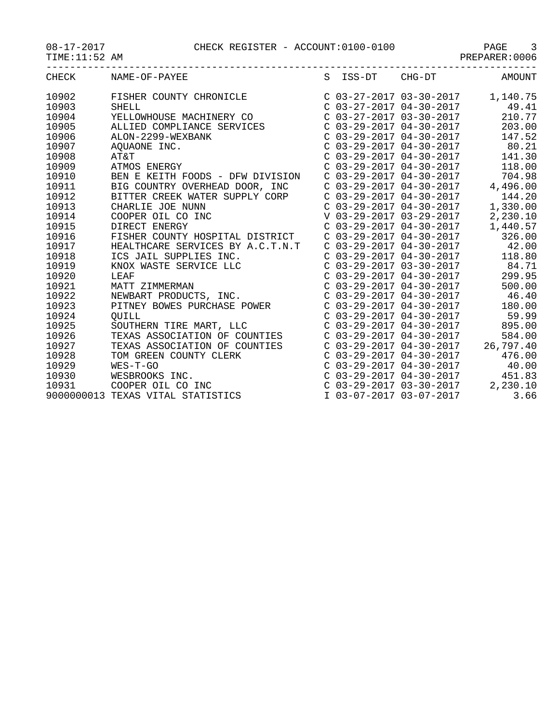| CHECK | NAME-OF-PAYEE                     |                           | S ISS-DT CHG-DT           | AMOUNT                             |
|-------|-----------------------------------|---------------------------|---------------------------|------------------------------------|
| 10902 | FISHER COUNTY CHRONICLE           |                           |                           | $C$ 03-27-2017 03-30-2017 1,140.75 |
| 10903 | <b>SHELL</b>                      |                           | $C$ 03-27-2017 04-30-2017 | 49.41                              |
| 10904 | YELLOWHOUSE MACHINERY CO          |                           | $C$ 03-27-2017 03-30-2017 | 210.77                             |
| 10905 | ALLIED COMPLIANCE SERVICES        |                           | $C$ 03-29-2017 04-30-2017 | 203.00                             |
| 10906 | ALON-2299-WEXBANK                 |                           | C 03-29-2017 04-30-2017   | 147.52                             |
| 10907 | AQUAONE INC.                      |                           | $C$ 03-29-2017 04-30-2017 | 80.21                              |
| 10908 | AT&T                              | $C$ 03-29-2017 04-30-2017 |                           | 141.30                             |
| 10909 | ATMOS ENERGY                      | $C$ 03-29-2017 04-30-2017 |                           | 118.00                             |
| 10910 | BEN E KEITH FOODS - DFW DIVISION  | $C$ 03-29-2017 04-30-2017 |                           | 704.98                             |
| 10911 | BIG COUNTRY OVERHEAD DOOR, INC    | $C$ 03-29-2017 04-30-2017 |                           | 4,496.00                           |
| 10912 | BITTER CREEK WATER SUPPLY CORP    |                           | C 03-29-2017 04-30-2017   | 144.20                             |
| 10913 | CHARLIE JOE NUNN                  |                           | $C$ 03-29-2017 04-30-2017 | 1,330.00                           |
| 10914 | COOPER OIL CO INC                 | V 03-29-2017 03-29-2017   |                           | 2,230.10                           |
| 10915 | DIRECT ENERGY                     | $C$ 03-29-2017 04-30-2017 |                           | 1,440.57                           |
| 10916 | FISHER COUNTY HOSPITAL DISTRICT   | $C$ 03-29-2017 04-30-2017 |                           | 326.00                             |
| 10917 | HEALTHCARE SERVICES BY A.C.T.N.T  |                           | $C$ 03-29-2017 04-30-2017 | 42.00                              |
| 10918 | ICS JAIL SUPPLIES INC.            | $C$ 03-29-2017 04-30-2017 |                           | 118.80                             |
| 10919 | KNOX WASTE SERVICE LLC            | $C$ 03-29-2017 03-30-2017 |                           | 84.71                              |
| 10920 | LEAF                              | $C$ 03-29-2017 04-30-2017 |                           | 299.95                             |
| 10921 | MATT ZIMMERMAN                    | $C$ 03-29-2017 04-30-2017 |                           | 500.00                             |
| 10922 | NEWBART PRODUCTS, INC.            | $C$ 03-29-2017 04-30-2017 |                           | 46.40                              |
| 10923 | PITNEY BOWES PURCHASE POWER       |                           | $C$ 03-29-2017 04-30-2017 | 180.00                             |
| 10924 | OUILL                             | $C$ 03-29-2017 04-30-2017 |                           | 59.99                              |
| 10925 | SOUTHERN TIRE MART, LLC           |                           | $C$ 03-29-2017 04-30-2017 | 895.00                             |
| 10926 | TEXAS ASSOCIATION OF COUNTIES     |                           | $C$ 03-29-2017 04-30-2017 | 584.00                             |
| 10927 | TEXAS ASSOCIATION OF COUNTIES     | $C$ 03-29-2017 04-30-2017 |                           | 26,797.40                          |
| 10928 | TOM GREEN COUNTY CLERK            | $C$ 03-29-2017 04-30-2017 |                           | 476.00                             |
| 10929 | $WES-T-GO$                        | $C$ 03-29-2017 04-30-2017 |                           | 40.00                              |
| 10930 | WESBROOKS INC.                    |                           | $C$ 03-29-2017 04-30-2017 | 451.83                             |
| 10931 | COOPER OIL CO INC                 | $C$ 03-29-2017 03-30-2017 |                           | 2,230.10                           |
|       | 9000000013 TEXAS VITAL STATISTICS | I 03-07-2017 03-07-2017   |                           | 3.66                               |